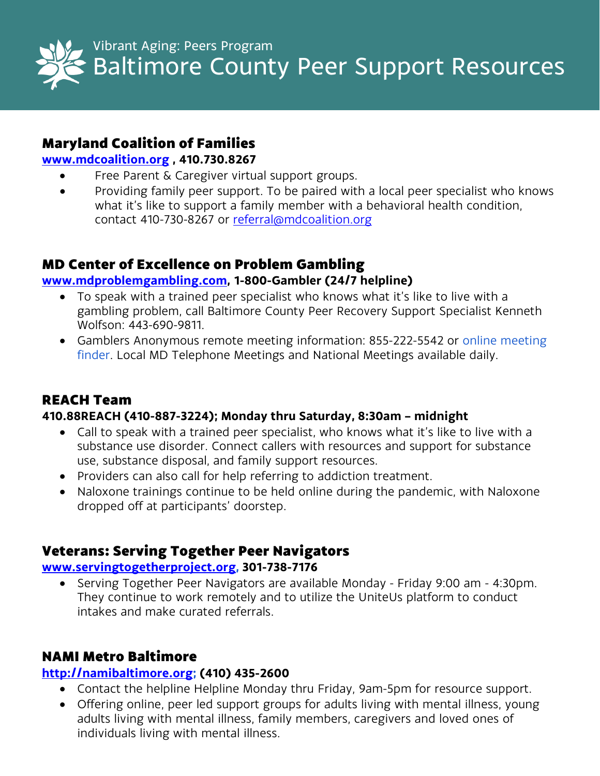

# Baltimore County Peer Support Resources

# Maryland Coalition of Families

## **[www.mdcoalition.org](http://www.mdcoalition.org/) , 410.730.8267**

- Free Parent & Caregiver virtual support groups.
- Providing family peer support. To be paired with a local peer specialist who knows what it's like to support a family member with a behavioral health condition, contact 410-730-8267 or [referral@mdcoalition.org](mailto:referral@mdcoalition.org)

# MD Center of Excellence on Problem Gambling

## **[www.mdproblemgambling.com,](http://www.mdproblemgambling.com/) 1-800-Gambler (24/7 helpline)**

- To speak with a trained peer specialist who knows what it's like to live with a gambling problem, call Baltimore County Peer Recovery Support Specialist Kenneth Wolfson: 443-690-9811.
- Gamblers Anonymous remote meeting information: 855-222-5542 or online meeting finder. Local MD Telephone Meetings and National Meetings available daily.

# REACH Team

## **410.88REACH (410-887-3224); Monday thru Saturday, 8:30am – midnight**

- Call to speak with a trained peer specialist, who knows what it's like to live with a substance use disorder. Connect callers with resources and support for substance use, substance disposal, and family support resources.
- Providers can also call for help referring to addiction treatment.
- Naloxone trainings continue to be held online during the pandemic, with Naloxone dropped off at participants' doorstep.

# Veterans: Serving Together Peer Navigators

## **[www.servingtogetherproject.org,](http://www.servingtogetherproject.org/) 301-738-7176**

• Serving Together Peer Navigators are available Monday - Friday 9:00 am - 4:30pm. They continue to work remotely and to utilize the UniteUs platform to conduct intakes and make curated referrals.

# NAMI Metro Baltimore

# **[http://namibaltimore.org;](http://namibaltimore.org/) (410) 435-2600**

- Contact the helpline Helpline Monday thru Friday, 9am-5pm for resource support.
- Offering online, peer led support groups for adults living with mental illness, young adults living with mental illness, family members, caregivers and loved ones of individuals living with mental illness.